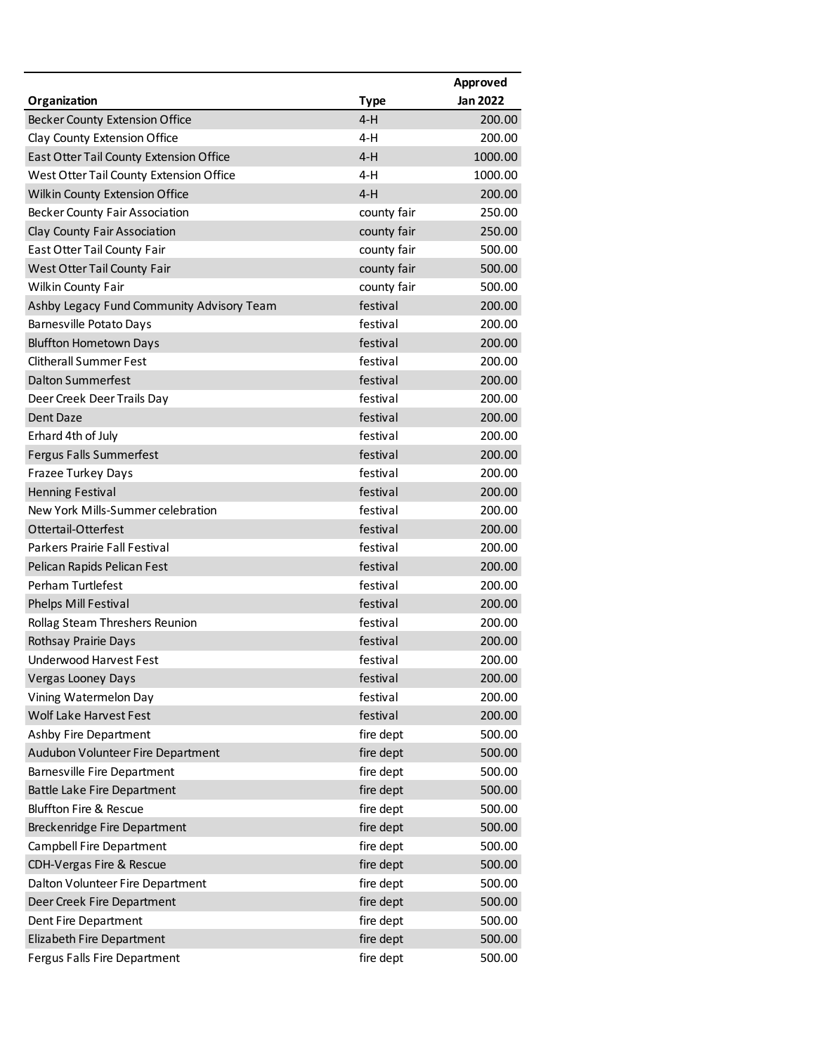|                                                       | Approved |
|-------------------------------------------------------|----------|
| Organization<br><b>Type</b>                           | Jan 2022 |
| $4-H$<br><b>Becker County Extension Office</b>        | 200.00   |
| Clay County Extension Office<br>4-H                   | 200.00   |
| $4-H$<br>East Otter Tail County Extension Office      | 1000.00  |
| $4-H$<br>West Otter Tail County Extension Office      | 1000.00  |
| $4-H$<br>Wilkin County Extension Office               | 200.00   |
| <b>Becker County Fair Association</b><br>county fair  | 250.00   |
| county fair<br>Clay County Fair Association           | 250.00   |
| East Otter Tail County Fair<br>county fair            | 500.00   |
| West Otter Tail County Fair<br>county fair            | 500.00   |
| Wilkin County Fair<br>county fair                     | 500.00   |
| festival<br>Ashby Legacy Fund Community Advisory Team | 200.00   |
| festival<br><b>Barnesville Potato Days</b>            | 200.00   |
| festival<br><b>Bluffton Hometown Days</b>             | 200.00   |
| <b>Clitherall Summer Fest</b><br>festival             | 200.00   |
| <b>Dalton Summerfest</b><br>festival                  | 200.00   |
| festival<br>Deer Creek Deer Trails Day                | 200.00   |
| festival<br>Dent Daze                                 | 200.00   |
| festival<br>Erhard 4th of July                        | 200.00   |
| festival<br><b>Fergus Falls Summerfest</b>            | 200.00   |
| festival<br>Frazee Turkey Days                        | 200.00   |
| festival<br><b>Henning Festival</b>                   | 200.00   |
| New York Mills-Summer celebration<br>festival         | 200.00   |
| Ottertail-Otterfest<br>festival                       | 200.00   |
| festival<br>Parkers Prairie Fall Festival             | 200.00   |
| festival<br>Pelican Rapids Pelican Fest               | 200.00   |
| <b>Perham Turtlefest</b><br>festival                  | 200.00   |
| festival<br><b>Phelps Mill Festival</b>               | 200.00   |
| festival<br>Rollag Steam Threshers Reunion            | 200.00   |
| festival<br>Rothsay Prairie Days                      | 200.00   |
| <b>Underwood Harvest Fest</b><br>festival             | 200.00   |
| festival<br><b>Vergas Looney Days</b>                 | 200.00   |
| festival<br>Vining Watermelon Day                     | 200.00   |
| festival<br>Wolf Lake Harvest Fest                    | 200.00   |
| Ashby Fire Department<br>fire dept                    | 500.00   |
| fire dept<br>Audubon Volunteer Fire Department        | 500.00   |
| fire dept<br><b>Barnesville Fire Department</b>       | 500.00   |
| fire dept<br>Battle Lake Fire Department              | 500.00   |
| fire dept<br><b>Bluffton Fire &amp; Rescue</b>        | 500.00   |
| fire dept<br>Breckenridge Fire Department             | 500.00   |
| fire dept<br>Campbell Fire Department                 | 500.00   |
| fire dept<br>CDH-Vergas Fire & Rescue                 | 500.00   |
| fire dept<br>Dalton Volunteer Fire Department         | 500.00   |
| fire dept<br>Deer Creek Fire Department               | 500.00   |
| fire dept<br>Dent Fire Department                     | 500.00   |
| fire dept<br>Elizabeth Fire Department                | 500.00   |
| fire dept<br>Fergus Falls Fire Department             | 500.00   |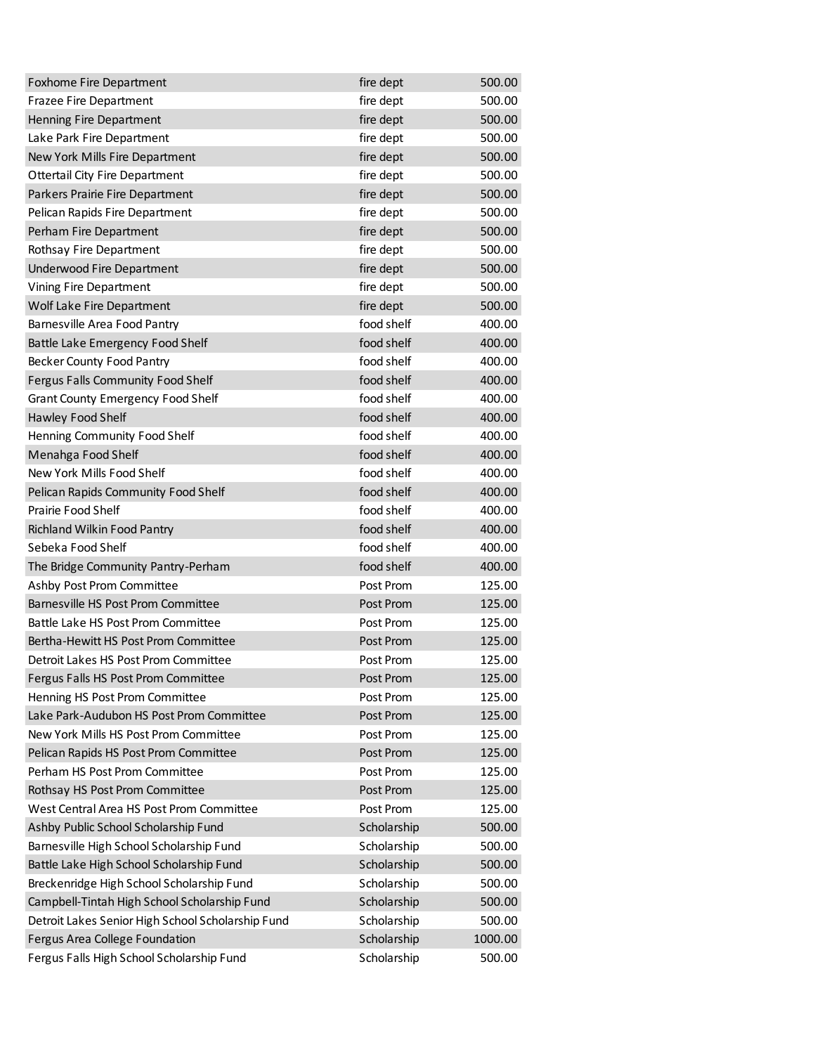| Foxhome Fire Department                           | fire dept   | 500.00  |
|---------------------------------------------------|-------------|---------|
| <b>Frazee Fire Department</b>                     | fire dept   | 500.00  |
| Henning Fire Department                           | fire dept   | 500.00  |
| Lake Park Fire Department                         | fire dept   | 500.00  |
| New York Mills Fire Department                    | fire dept   | 500.00  |
| <b>Ottertail City Fire Department</b>             | fire dept   | 500.00  |
| Parkers Prairie Fire Department                   | fire dept   | 500.00  |
| Pelican Rapids Fire Department                    | fire dept   | 500.00  |
| Perham Fire Department                            | fire dept   | 500.00  |
| Rothsay Fire Department                           | fire dept   | 500.00  |
| Underwood Fire Department                         | fire dept   | 500.00  |
| Vining Fire Department                            | fire dept   | 500.00  |
| Wolf Lake Fire Department                         | fire dept   | 500.00  |
| Barnesville Area Food Pantry                      | food shelf  | 400.00  |
| Battle Lake Emergency Food Shelf                  | food shelf  | 400.00  |
| <b>Becker County Food Pantry</b>                  | food shelf  | 400.00  |
| Fergus Falls Community Food Shelf                 | food shelf  | 400.00  |
| <b>Grant County Emergency Food Shelf</b>          | food shelf  | 400.00  |
| Hawley Food Shelf                                 | food shelf  | 400.00  |
| Henning Community Food Shelf                      | food shelf  | 400.00  |
| Menahga Food Shelf                                | food shelf  | 400.00  |
| New York Mills Food Shelf                         | food shelf  | 400.00  |
| Pelican Rapids Community Food Shelf               | food shelf  | 400.00  |
| Prairie Food Shelf                                | food shelf  | 400.00  |
| Richland Wilkin Food Pantry                       | food shelf  | 400.00  |
| Sebeka Food Shelf                                 | food shelf  | 400.00  |
| The Bridge Community Pantry-Perham                | food shelf  | 400.00  |
| Ashby Post Prom Committee                         | Post Prom   | 125.00  |
| Barnesville HS Post Prom Committee                | Post Prom   | 125.00  |
| Battle Lake HS Post Prom Committee                | Post Prom   | 125.00  |
| Bertha-Hewitt HS Post Prom Committee              | Post Prom   | 125.00  |
| Detroit Lakes HS Post Prom Committee              | Post Prom   | 125.00  |
| Fergus Falls HS Post Prom Committee               | Post Prom   | 125.00  |
| Henning HS Post Prom Committee                    | Post Prom   | 125.00  |
| Lake Park-Audubon HS Post Prom Committee          | Post Prom   | 125.00  |
| New York Mills HS Post Prom Committee             | Post Prom   | 125.00  |
| Pelican Rapids HS Post Prom Committee             | Post Prom   | 125.00  |
| Perham HS Post Prom Committee                     | Post Prom   | 125.00  |
| Rothsay HS Post Prom Committee                    | Post Prom   | 125.00  |
| West Central Area HS Post Prom Committee          | Post Prom   | 125.00  |
| Ashby Public School Scholarship Fund              | Scholarship | 500.00  |
| Barnesville High School Scholarship Fund          | Scholarship | 500.00  |
| Battle Lake High School Scholarship Fund          | Scholarship | 500.00  |
| Breckenridge High School Scholarship Fund         | Scholarship | 500.00  |
| Campbell-Tintah High School Scholarship Fund      | Scholarship | 500.00  |
| Detroit Lakes Senior High School Scholarship Fund | Scholarship | 500.00  |
| Fergus Area College Foundation                    | Scholarship | 1000.00 |
| Fergus Falls High School Scholarship Fund         | Scholarship | 500.00  |